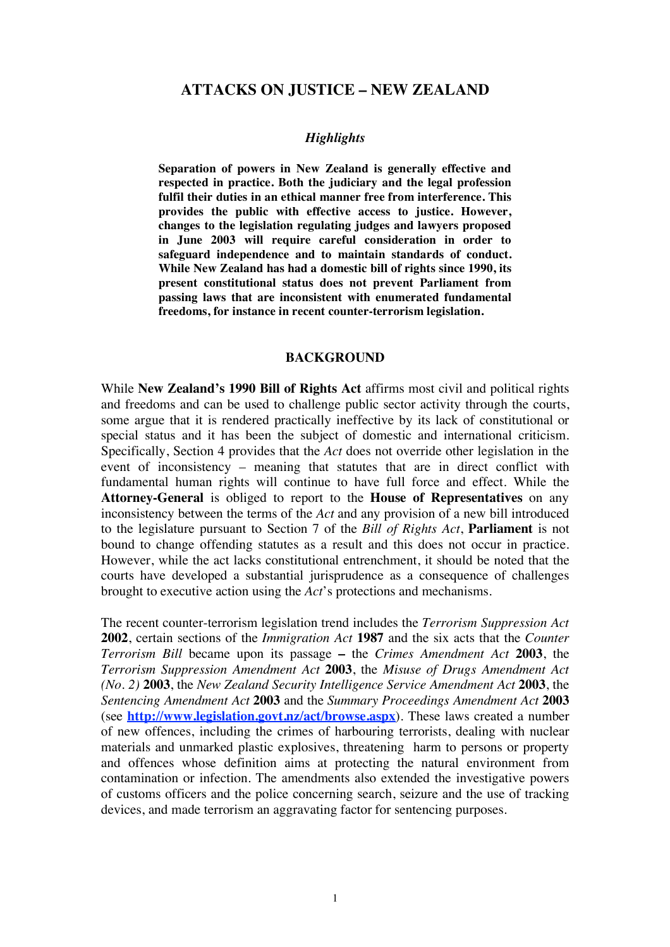### **ATTACKS ON JUSTICE – NEW ZEALAND**

### *Highlights*

**Separation of powers in New Zealand is generally effective and respected in practice. Both the judiciary and the legal profession fulfil their duties in an ethical manner free from interference. This provides the public with effective access to justice. However, changes to the legislation regulating judges and lawyers proposed in June 2003 will require careful consideration in order to safeguard independence and to maintain standards of conduct. While New Zealand has had a domestic bill of rights since 1990, its present constitutional status does not prevent Parliament from passing laws that are inconsistent with enumerated fundamental freedoms, for instance in recent counter-terrorism legislation.**

#### **BACKGROUND**

While **New Zealand's 1990 Bill of Rights Act** affirms most civil and political rights and freedoms and can be used to challenge public sector activity through the courts, some argue that it is rendered practically ineffective by its lack of constitutional or special status and it has been the subject of domestic and international criticism. Specifically, Section 4 provides that the *Act* does not override other legislation in the event of inconsistency – meaning that statutes that are in direct conflict with fundamental human rights will continue to have full force and effect. While the **Attorney-General** is obliged to report to the **House of Representatives** on any inconsistency between the terms of the *Act* and any provision of a new bill introduced to the legislature pursuant to Section 7 of the *Bill of Rights Act*, **Parliament** is not bound to change offending statutes as a result and this does not occur in practice. However, while the act lacks constitutional entrenchment, it should be noted that the courts have developed a substantial jurisprudence as a consequence of challenges brought to executive action using the *Act*'s protections and mechanisms.

The recent counter-terrorism legislation trend includes the *Terrorism Suppression Act* **2002**, certain sections of the *Immigration Act* **1987** and the six acts that the *Counter Terrorism Bill* became upon its passage **–** the *Crimes Amendment Act* **2003**, the *Terrorism Suppression Amendment Act* **2003**, the *Misuse of Drugs Amendment Act (No. 2)* **2003**, the *New Zealand Security Intelligence Service Amendment Act* **2003**, the *Sentencing Amendment Act* **2003** and the *Summary Proceedings Amendment Act* **2003** (see **http://www.legislation.govt.nz/act/browse.aspx**). These laws created a number of new offences, including the crimes of harbouring terrorists, dealing with nuclear materials and unmarked plastic explosives, threatening harm to persons or property and offences whose definition aims at protecting the natural environment from contamination or infection. The amendments also extended the investigative powers of customs officers and the police concerning search, seizure and the use of tracking devices, and made terrorism an aggravating factor for sentencing purposes.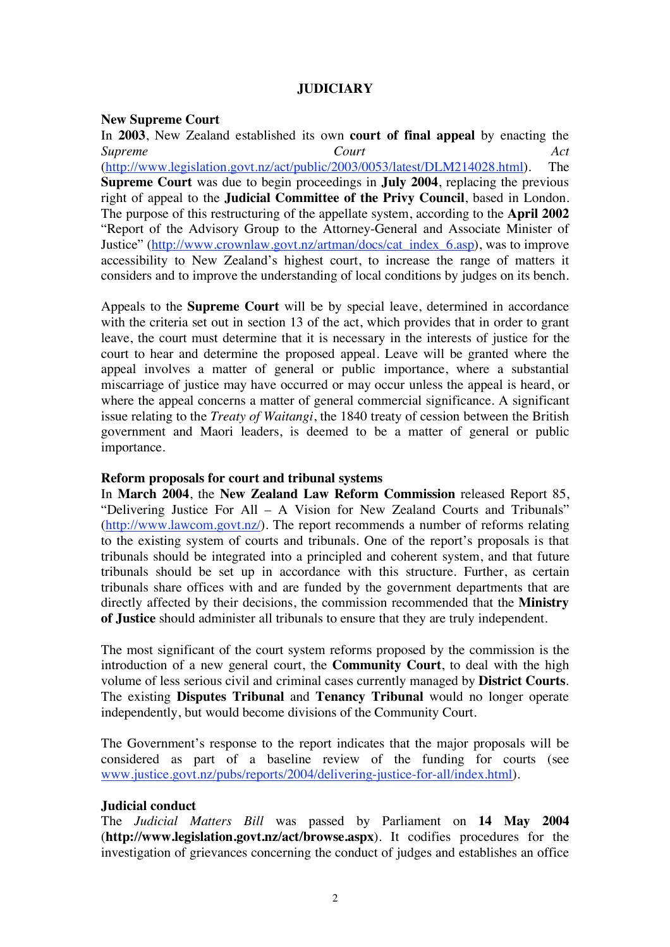## **JUDICIARY**

### **New Supreme Court**

In **2003**, New Zealand established its own **court of final appeal** by enacting the **Supreme** Act **Court Court** (http://www.legislation.govt.nz/act/public/2003/0053/latest/DLM214028.html). The **Supreme Court** was due to begin proceedings in **July 2004**, replacing the previous right of appeal to the **Judicial Committee of the Privy Council**, based in London. The purpose of this restructuring of the appellate system, according to the **April 2002** "Report of the Advisory Group to the Attorney-General and Associate Minister of Justice" (http://www.crownlaw.govt.nz/artman/docs/cat\_index\_6.asp), was to improve accessibility to New Zealand's highest court, to increase the range of matters it considers and to improve the understanding of local conditions by judges on its bench.

Appeals to the **Supreme Court** will be by special leave, determined in accordance with the criteria set out in section 13 of the act, which provides that in order to grant leave, the court must determine that it is necessary in the interests of justice for the court to hear and determine the proposed appeal. Leave will be granted where the appeal involves a matter of general or public importance, where a substantial miscarriage of justice may have occurred or may occur unless the appeal is heard, or where the appeal concerns a matter of general commercial significance. A significant issue relating to the *Treaty of Waitangi*, the 1840 treaty of cession between the British government and Maori leaders, is deemed to be a matter of general or public importance.

### **Reform proposals for court and tribunal systems**

In **March 2004**, the **New Zealand Law Reform Commission** released Report 85, "Delivering Justice For All – A Vision for New Zealand Courts and Tribunals" (http://www.lawcom.govt.nz/). The report recommends a number of reforms relating to the existing system of courts and tribunals. One of the report's proposals is that tribunals should be integrated into a principled and coherent system, and that future tribunals should be set up in accordance with this structure. Further, as certain tribunals share offices with and are funded by the government departments that are directly affected by their decisions, the commission recommended that the **Ministry of Justice** should administer all tribunals to ensure that they are truly independent.

The most significant of the court system reforms proposed by the commission is the introduction of a new general court, the **Community Court**, to deal with the high volume of less serious civil and criminal cases currently managed by **District Courts**. The existing **Disputes Tribunal** and **Tenancy Tribunal** would no longer operate independently, but would become divisions of the Community Court.

The Government's response to the report indicates that the major proposals will be considered as part of a baseline review of the funding for courts (see www.justice.govt.nz/pubs/reports/2004/delivering-justice-for-all/index.html).

## **Judicial conduct**

The *Judicial Matters Bill* was passed by Parliament on **14 May 2004** (**http://www.legislation.govt.nz/act/browse.aspx**). It codifies procedures for the investigation of grievances concerning the conduct of judges and establishes an office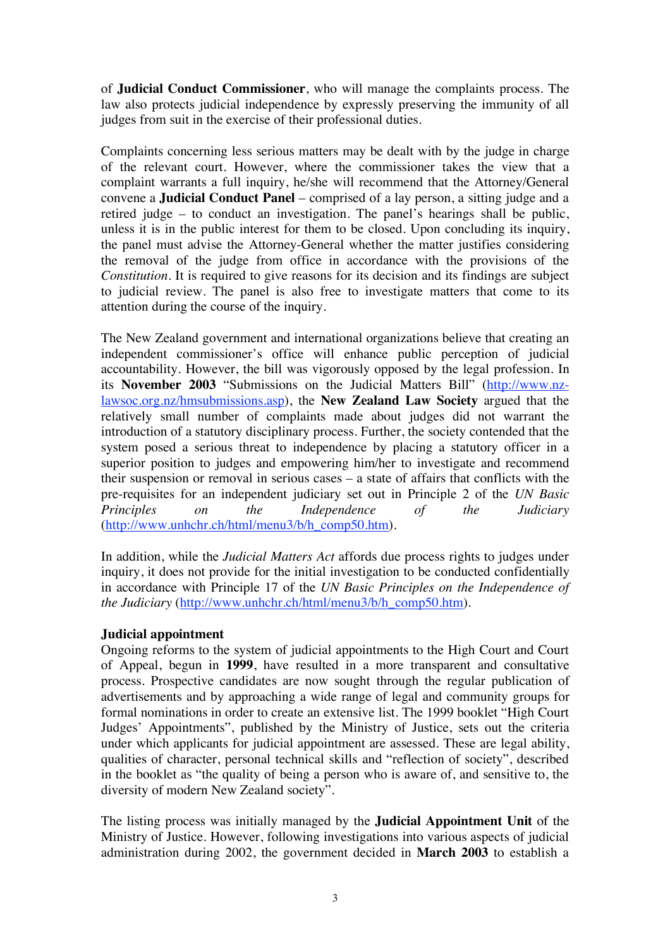of **Judicial Conduct Commissioner**, who will manage the complaints process. The law also protects judicial independence by expressly preserving the immunity of all judges from suit in the exercise of their professional duties.

Complaints concerning less serious matters may be dealt with by the judge in charge of the relevant court. However, where the commissioner takes the view that a complaint warrants a full inquiry, he/she will recommend that the Attorney/General convene a **Judicial Conduct Panel** – comprised of a lay person, a sitting judge and a retired judge – to conduct an investigation. The panel's hearings shall be public, unless it is in the public interest for them to be closed. Upon concluding its inquiry, the panel must advise the Attorney-General whether the matter justifies considering the removal of the judge from office in accordance with the provisions of the *Constitution*. It is required to give reasons for its decision and its findings are subject to judicial review. The panel is also free to investigate matters that come to its attention during the course of the inquiry.

The New Zealand government and international organizations believe that creating an independent commissioner's office will enhance public perception of judicial accountability. However, the bill was vigorously opposed by the legal profession. In its **November 2003** "Submissions on the Judicial Matters Bill" (http://www.nzlawsoc.org.nz/hmsubmissions.asp), the **New Zealand Law Society** argued that the relatively small number of complaints made about judges did not warrant the introduction of a statutory disciplinary process. Further, the society contended that the system posed a serious threat to independence by placing a statutory officer in a superior position to judges and empowering him/her to investigate and recommend their suspension or removal in serious cases – a state of affairs that conflicts with the pre-requisites for an independent judiciary set out in Principle 2 of the *UN Basic Principles on the Independence of the Judiciary*  (http://www.unhchr.ch/html/menu3/b/h\_comp50.htm).

In addition, while the *Judicial Matters Act* affords due process rights to judges under inquiry, it does not provide for the initial investigation to be conducted confidentially in accordance with Principle 17 of the *UN Basic Principles on the Independence of the Judiciary* (http://www.unhchr.ch/html/menu3/b/h\_comp50.htm).

# **Judicial appointment**

Ongoing reforms to the system of judicial appointments to the High Court and Court of Appeal, begun in **1999**, have resulted in a more transparent and consultative process. Prospective candidates are now sought through the regular publication of advertisements and by approaching a wide range of legal and community groups for formal nominations in order to create an extensive list. The 1999 booklet "High Court Judges' Appointments", published by the Ministry of Justice, sets out the criteria under which applicants for judicial appointment are assessed. These are legal ability, qualities of character, personal technical skills and "reflection of society", described in the booklet as "the quality of being a person who is aware of, and sensitive to, the diversity of modern New Zealand society".

The listing process was initially managed by the **Judicial Appointment Unit** of the Ministry of Justice. However, following investigations into various aspects of judicial administration during 2002, the government decided in **March 2003** to establish a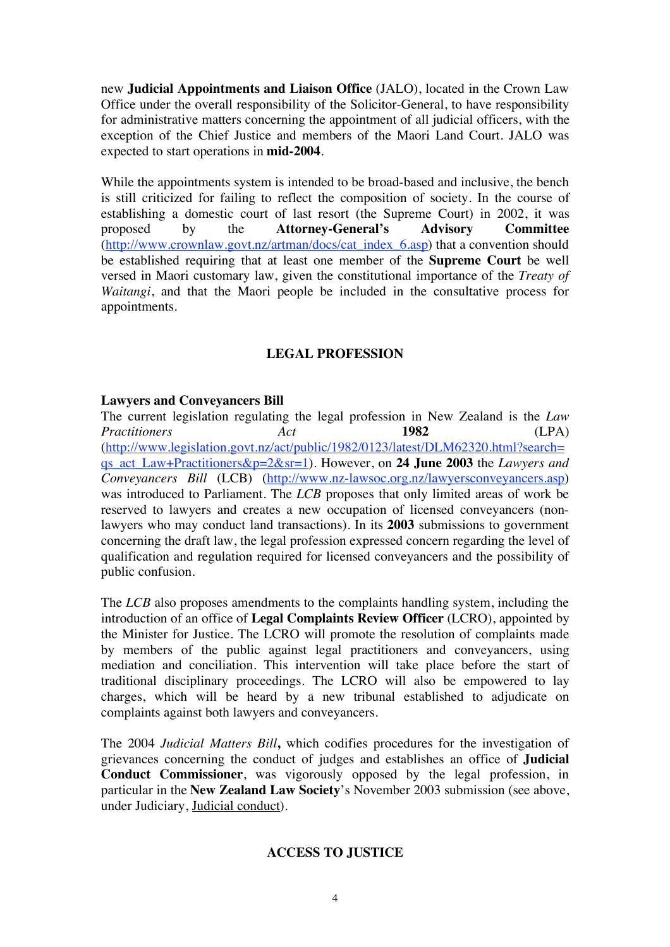new **Judicial Appointments and Liaison Office** (JALO), located in the Crown Law Office under the overall responsibility of the Solicitor-General, to have responsibility for administrative matters concerning the appointment of all judicial officers, with the exception of the Chief Justice and members of the Maori Land Court. JALO was expected to start operations in **mid-2004**.

While the appointments system is intended to be broad-based and inclusive, the bench is still criticized for failing to reflect the composition of society. In the course of establishing a domestic court of last resort (the Supreme Court) in 2002, it was proposed by the **Attorney-General's Advisory Committee** (http://www.crownlaw.govt.nz/artman/docs/cat\_index\_6.asp) that a convention should be established requiring that at least one member of the **Supreme Court** be well versed in Maori customary law, given the constitutional importance of the *Treaty of Waitangi*, and that the Maori people be included in the consultative process for appointments.

# **LEGAL PROFESSION**

# **Lawyers and Conveyancers Bill**

The current legislation regulating the legal profession in New Zealand is the *Law Practitioners Act* **1982** (LPA) (http://www.legislation.govt.nz/act/public/1982/0123/latest/DLM62320.html?search= qs\_act\_Law+Practitioners&p=2&sr=1). However, on **24 June 2003** the *Lawyers and Conveyancers Bill* (LCB) (http://www.nz-lawsoc.org.nz/lawyersconveyancers.asp) was introduced to Parliament. The *LCB* proposes that only limited areas of work be reserved to lawyers and creates a new occupation of licensed conveyancers (nonlawyers who may conduct land transactions). In its **2003** submissions to government concerning the draft law, the legal profession expressed concern regarding the level of qualification and regulation required for licensed conveyancers and the possibility of public confusion.

The *LCB* also proposes amendments to the complaints handling system, including the introduction of an office of **Legal Complaints Review Officer** (LCRO), appointed by the Minister for Justice. The LCRO will promote the resolution of complaints made by members of the public against legal practitioners and conveyancers, using mediation and conciliation. This intervention will take place before the start of traditional disciplinary proceedings. The LCRO will also be empowered to lay charges, which will be heard by a new tribunal established to adjudicate on complaints against both lawyers and conveyancers.

The 2004 *Judicial Matters Bill***,** which codifies procedures for the investigation of grievances concerning the conduct of judges and establishes an office of **Judicial Conduct Commissioner**, was vigorously opposed by the legal profession, in particular in the **New Zealand Law Society**'s November 2003 submission (see above, under Judiciary, Judicial conduct).

# **ACCESS TO JUSTICE**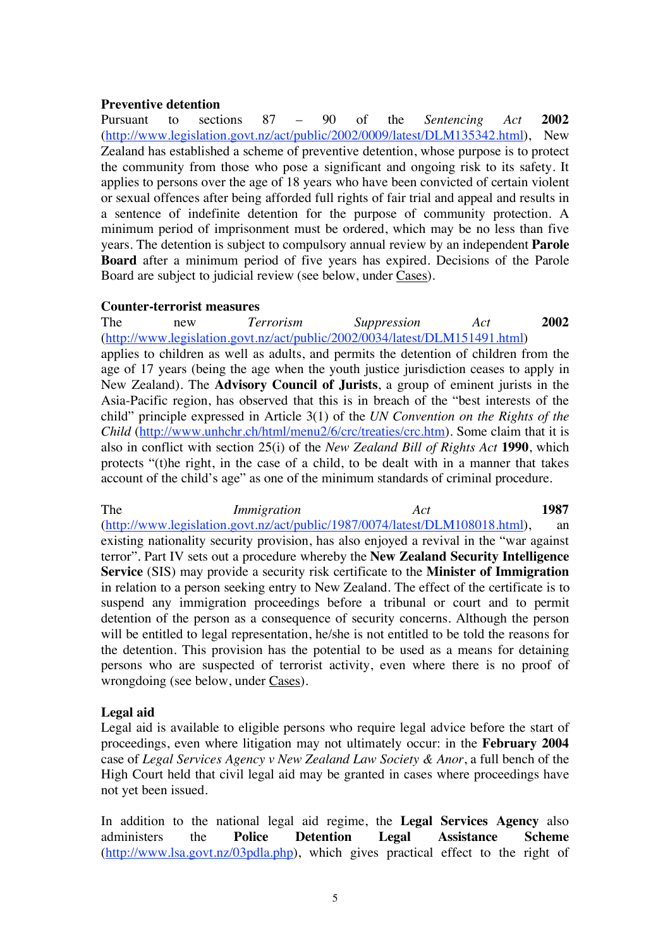### **Preventive detention**

Pursuant to sections 87 – 90 of the *Sentencing Act* **2002**  (http://www.legislation.govt.nz/act/public/2002/0009/latest/DLM135342.html), New Zealand has established a scheme of preventive detention, whose purpose is to protect the community from those who pose a significant and ongoing risk to its safety. It applies to persons over the age of 18 years who have been convicted of certain violent or sexual offences after being afforded full rights of fair trial and appeal and results in a sentence of indefinite detention for the purpose of community protection. A minimum period of imprisonment must be ordered, which may be no less than five years. The detention is subject to compulsory annual review by an independent **Parole Board** after a minimum period of five years has expired. Decisions of the Parole Board are subject to judicial review (see below, under Cases).

#### **Counter-terrorist measures**

The new *Terrorism Suppression Act* **2002**  (http://www.legislation.govt.nz/act/public/2002/0034/latest/DLM151491.html) applies to children as well as adults, and permits the detention of children from the age of 17 years (being the age when the youth justice jurisdiction ceases to apply in New Zealand). The **Advisory Council of Jurists**, a group of eminent jurists in the Asia-Pacific region, has observed that this is in breach of the "best interests of the child" principle expressed in Article 3(1) of the *UN Convention on the Rights of the Child* (http://www.unhchr.ch/html/menu2/6/crc/treaties/crc.htm). Some claim that it is also in conflict with section 25(i) of the *New Zealand Bill of Rights Act* **1990**, which protects "(t)he right, in the case of a child, to be dealt with in a manner that takes account of the child's age" as one of the minimum standards of criminal procedure.

The *Immigration Act* 1987 (http://www.legislation.govt.nz/act/public/1987/0074/latest/DLM108018.html), an existing nationality security provision, has also enjoyed a revival in the "war against terror". Part IV sets out a procedure whereby the **New Zealand Security Intelligence Service** (SIS) may provide a security risk certificate to the **Minister of Immigration** in relation to a person seeking entry to New Zealand. The effect of the certificate is to suspend any immigration proceedings before a tribunal or court and to permit detention of the person as a consequence of security concerns. Although the person will be entitled to legal representation, he/she is not entitled to be told the reasons for the detention. This provision has the potential to be used as a means for detaining persons who are suspected of terrorist activity, even where there is no proof of wrongdoing (see below, under Cases).

## **Legal aid**

Legal aid is available to eligible persons who require legal advice before the start of proceedings, even where litigation may not ultimately occur: in the **February 2004** case of *Legal Services Agency v New Zealand Law Society & Anor*, a full bench of the High Court held that civil legal aid may be granted in cases where proceedings have not yet been issued.

In addition to the national legal aid regime, the **Legal Services Agency** also administers the **Police Detention Legal Assistance Scheme** (http://www.lsa.govt.nz/03pdla.php), which gives practical effect to the right of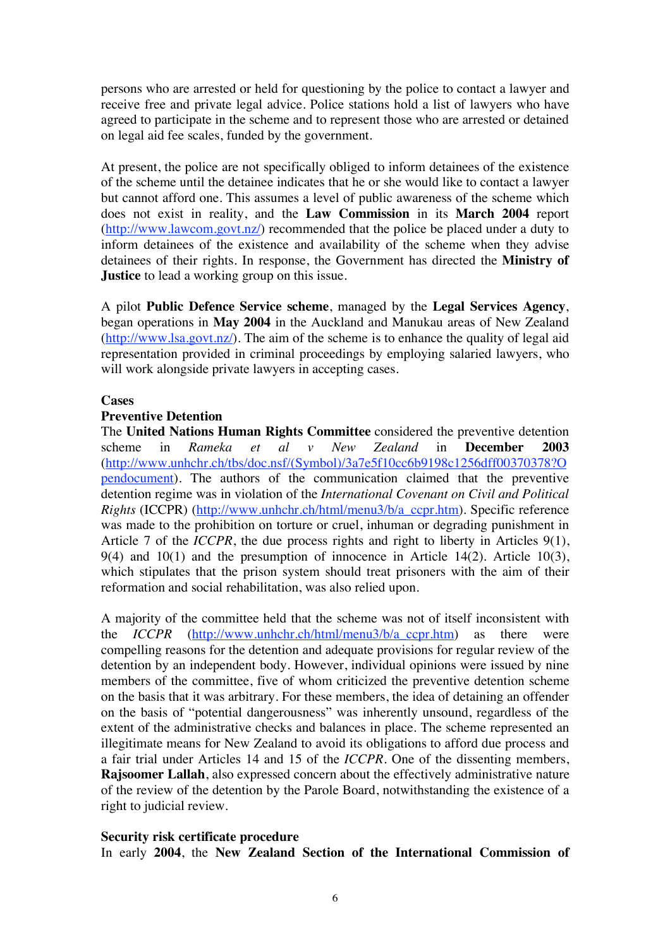persons who are arrested or held for questioning by the police to contact a lawyer and receive free and private legal advice. Police stations hold a list of lawyers who have agreed to participate in the scheme and to represent those who are arrested or detained on legal aid fee scales, funded by the government.

At present, the police are not specifically obliged to inform detainees of the existence of the scheme until the detainee indicates that he or she would like to contact a lawyer but cannot afford one. This assumes a level of public awareness of the scheme which does not exist in reality, and the **Law Commission** in its **March 2004** report (http://www.lawcom.govt.nz/) recommended that the police be placed under a duty to inform detainees of the existence and availability of the scheme when they advise detainees of their rights. In response, the Government has directed the **Ministry of Justice** to lead a working group on this issue.

A pilot **Public Defence Service scheme**, managed by the **Legal Services Agency**, began operations in **May 2004** in the Auckland and Manukau areas of New Zealand (http://www.lsa.govt.nz/). The aim of the scheme is to enhance the quality of legal aid representation provided in criminal proceedings by employing salaried lawyers, who will work alongside private lawyers in accepting cases.

### **Cases**

## **Preventive Detention**

The **United Nations Human Rights Committee** considered the preventive detention scheme in *Rameka et al v New Zealand* in **December 2003** (http://www.unhchr.ch/tbs/doc.nsf/(Symbol)/3a7e5f10cc6b9198c1256dff00370378?O pendocument). The authors of the communication claimed that the preventive detention regime was in violation of the *International Covenant on Civil and Political Rights* (ICCPR) (http://www.unhchr.ch/html/menu3/b/a\_ccpr.htm). Specific reference was made to the prohibition on torture or cruel, inhuman or degrading punishment in Article 7 of the *ICCPR*, the due process rights and right to liberty in Articles 9(1), 9(4) and 10(1) and the presumption of innocence in Article 14(2). Article 10(3), which stipulates that the prison system should treat prisoners with the aim of their reformation and social rehabilitation, was also relied upon.

A majority of the committee held that the scheme was not of itself inconsistent with the *ICCPR* (http://www.unhchr.ch/html/menu3/b/a\_ccpr.htm) as there were compelling reasons for the detention and adequate provisions for regular review of the detention by an independent body. However, individual opinions were issued by nine members of the committee, five of whom criticized the preventive detention scheme on the basis that it was arbitrary. For these members, the idea of detaining an offender on the basis of "potential dangerousness" was inherently unsound, regardless of the extent of the administrative checks and balances in place. The scheme represented an illegitimate means for New Zealand to avoid its obligations to afford due process and a fair trial under Articles 14 and 15 of the *ICCPR*. One of the dissenting members, **Rajsoomer Lallah**, also expressed concern about the effectively administrative nature of the review of the detention by the Parole Board, notwithstanding the existence of a right to judicial review.

## **Security risk certificate procedure**

In early **2004**, the **New Zealand Section of the International Commission of**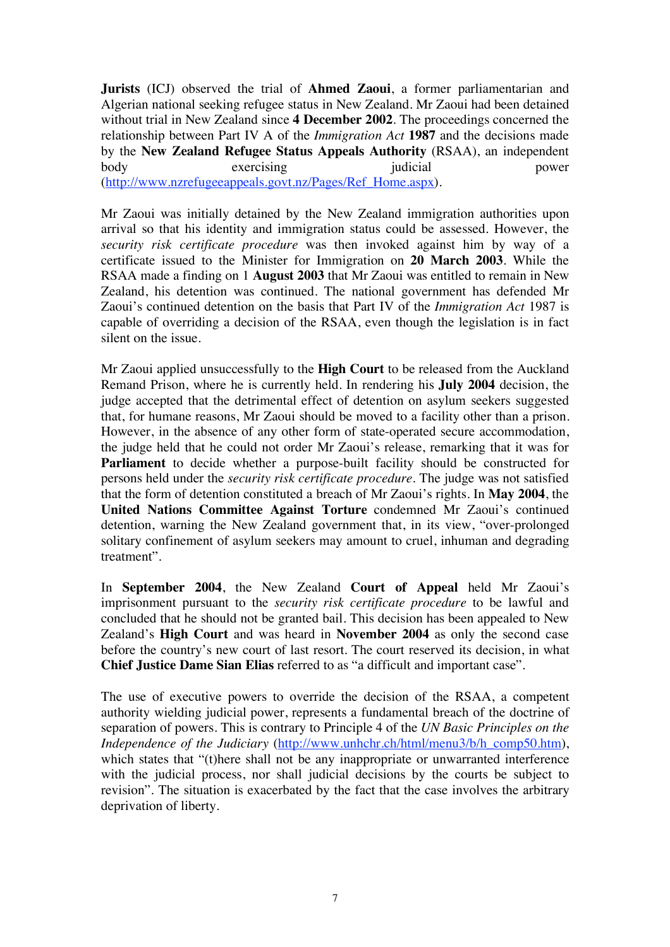**Jurists** (ICJ) observed the trial of **Ahmed Zaoui**, a former parliamentarian and Algerian national seeking refugee status in New Zealand. Mr Zaoui had been detained without trial in New Zealand since **4 December 2002**. The proceedings concerned the relationship between Part IV A of the *Immigration Act* **1987** and the decisions made by the **New Zealand Refugee Status Appeals Authority** (RSAA), an independent body exercising judicial power (http://www.nzrefugeeappeals.govt.nz/Pages/Ref\_Home.aspx).

Mr Zaoui was initially detained by the New Zealand immigration authorities upon arrival so that his identity and immigration status could be assessed. However, the *security risk certificate procedure* was then invoked against him by way of a certificate issued to the Minister for Immigration on **20 March 2003**. While the RSAA made a finding on 1 **August 2003** that Mr Zaoui was entitled to remain in New Zealand, his detention was continued. The national government has defended Mr Zaoui's continued detention on the basis that Part IV of the *Immigration Act* 1987 is capable of overriding a decision of the RSAA, even though the legislation is in fact silent on the issue.

Mr Zaoui applied unsuccessfully to the **High Court** to be released from the Auckland Remand Prison, where he is currently held. In rendering his **July 2004** decision, the judge accepted that the detrimental effect of detention on asylum seekers suggested that, for humane reasons, Mr Zaoui should be moved to a facility other than a prison. However, in the absence of any other form of state-operated secure accommodation, the judge held that he could not order Mr Zaoui's release, remarking that it was for **Parliament** to decide whether a purpose-built facility should be constructed for persons held under the *security risk certificate procedure*. The judge was not satisfied that the form of detention constituted a breach of Mr Zaoui's rights. In **May 2004**, the **United Nations Committee Against Torture** condemned Mr Zaoui's continued detention, warning the New Zealand government that, in its view, "over-prolonged solitary confinement of asylum seekers may amount to cruel, inhuman and degrading treatment".

In **September 2004**, the New Zealand **Court of Appeal** held Mr Zaoui's imprisonment pursuant to the *security risk certificate procedure* to be lawful and concluded that he should not be granted bail. This decision has been appealed to New Zealand's **High Court** and was heard in **November 2004** as only the second case before the country's new court of last resort. The court reserved its decision, in what **Chief Justice Dame Sian Elias** referred to as "a difficult and important case".

The use of executive powers to override the decision of the RSAA, a competent authority wielding judicial power, represents a fundamental breach of the doctrine of separation of powers. This is contrary to Principle 4 of the *UN Basic Principles on the Independence of the Judiciary* (http://www.unhchr.ch/html/menu3/b/h\_comp50.htm), which states that "(t)here shall not be any inappropriate or unwarranted interference with the judicial process, nor shall judicial decisions by the courts be subject to revision". The situation is exacerbated by the fact that the case involves the arbitrary deprivation of liberty.